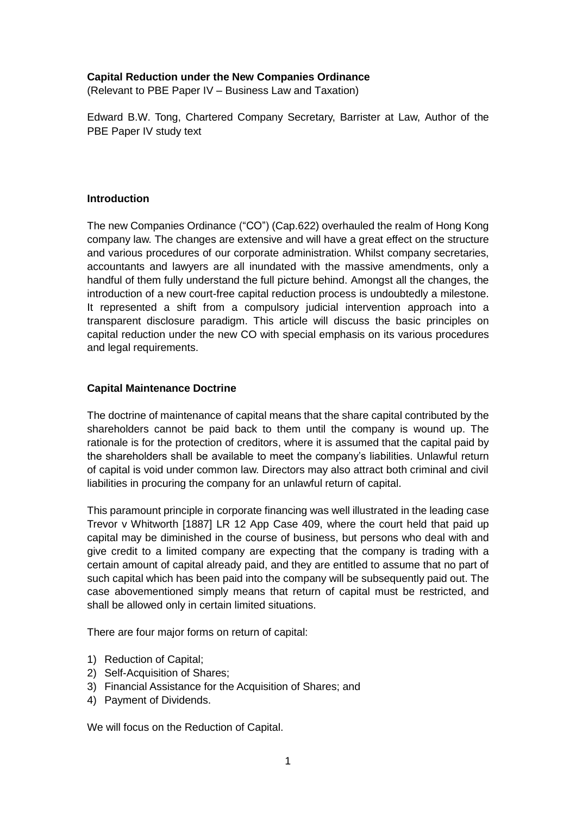### **Capital Reduction under the New Companies Ordinance**

(Relevant to PBE Paper IV – Business Law and Taxation)

Edward B.W. Tong, Chartered Company Secretary, Barrister at Law, Author of the PBE Paper IV study text

### **Introduction**

The new Companies Ordinance ("CO") (Cap.622) overhauled the realm of Hong Kong company law. The changes are extensive and will have a great effect on the structure and various procedures of our corporate administration. Whilst company secretaries, accountants and lawyers are all inundated with the massive amendments, only a handful of them fully understand the full picture behind. Amongst all the changes, the introduction of a new court-free capital reduction process is undoubtedly a milestone. It represented a shift from a compulsory judicial intervention approach into a transparent disclosure paradigm. This article will discuss the basic principles on capital reduction under the new CO with special emphasis on its various procedures and legal requirements.

### **Capital Maintenance Doctrine**

The doctrine of maintenance of capital means that the share capital contributed by the shareholders cannot be paid back to them until the company is wound up. The rationale is for the protection of creditors, where it is assumed that the capital paid by the shareholders shall be available to meet the company's liabilities. Unlawful return of capital is void under common law. Directors may also attract both criminal and civil liabilities in procuring the company for an unlawful return of capital.

This paramount principle in corporate financing was well illustrated in the leading case Trevor v Whitworth [1887] LR 12 App Case 409, where the court held that paid up capital may be diminished in the course of business, but persons who deal with and give credit to a limited company are expecting that the company is trading with a certain amount of capital already paid, and they are entitled to assume that no part of such capital which has been paid into the company will be subsequently paid out. The case abovementioned simply means that return of capital must be restricted, and shall be allowed only in certain limited situations.

There are four major forms on return of capital:

- 1) Reduction of Capital;
- 2) Self-Acquisition of Shares;
- 3) Financial Assistance for the Acquisition of Shares; and
- 4) Payment of Dividends.

We will focus on the Reduction of Capital.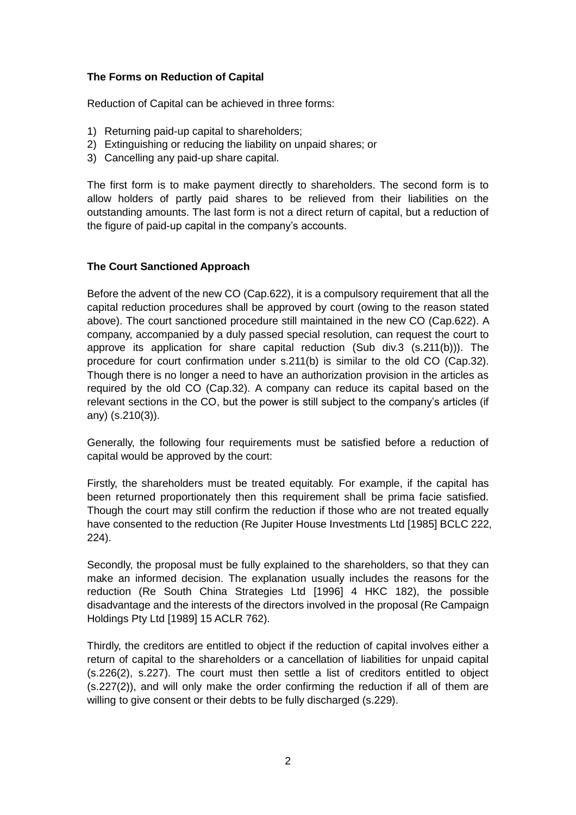## **The Forms on Reduction of Capital**

Reduction of Capital can be achieved in three forms:

- 1) Returning paid-up capital to shareholders;
- 2) Extinguishing or reducing the liability on unpaid shares; or
- 3) Cancelling any paid-up share capital.

The first form is to make payment directly to shareholders. The second form is to allow holders of partly paid shares to be relieved from their liabilities on the outstanding amounts. The last form is not a direct return of capital, but a reduction of the figure of paid-up capital in the company's accounts.

### **The Court Sanctioned Approach**

Before the advent of the new CO (Cap.622), it is a compulsory requirement that all the capital reduction procedures shall be approved by court (owing to the reason stated above). The court sanctioned procedure still maintained in the new CO (Cap.622). A company, accompanied by a duly passed special resolution, can request the court to approve its application for share capital reduction (Sub div.3 (s.211(b))). The procedure for court confirmation under s.211(b) is similar to the old CO (Cap.32). Though there is no longer a need to have an authorization provision in the articles as required by the old CO (Cap.32). A company can reduce its capital based on the relevant sections in the CO, but the power is still subject to the company's articles (if any) (s.210(3)).

Generally, the following four requirements must be satisfied before a reduction of capital would be approved by the court:

Firstly, the shareholders must be treated equitably. For example, if the capital has been returned proportionately then this requirement shall be prima facie satisfied. Though the court may still confirm the reduction if those who are not treated equally have consented to the reduction (Re Jupiter House Investments Ltd [1985] BCLC 222, 224).

Secondly, the proposal must be fully explained to the shareholders, so that they can make an informed decision. The explanation usually includes the reasons for the reduction (Re South China Strategies Ltd [1996] 4 HKC 182), the possible disadvantage and the interests of the directors involved in the proposal (Re Campaign Holdings Pty Ltd [1989] 15 ACLR 762).

Thirdly, the creditors are entitled to object if the reduction of capital involves either a return of capital to the shareholders or a cancellation of liabilities for unpaid capital (s.226(2), s.227). The court must then settle a list of creditors entitled to object (s.227(2)), and will only make the order confirming the reduction if all of them are willing to give consent or their debts to be fully discharged (s.229).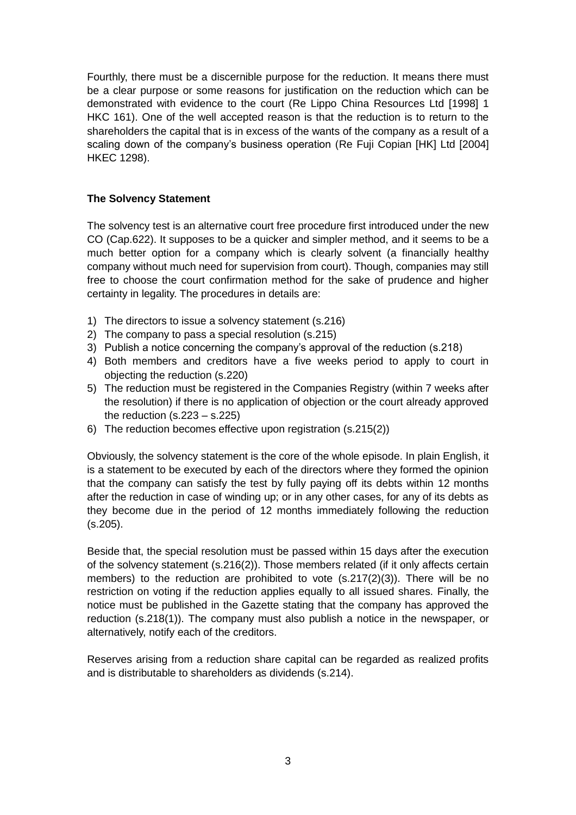Fourthly, there must be a discernible purpose for the reduction. It means there must be a clear purpose or some reasons for justification on the reduction which can be demonstrated with evidence to the court (Re Lippo China Resources Ltd [1998] 1 HKC 161). One of the well accepted reason is that the reduction is to return to the shareholders the capital that is in excess of the wants of the company as a result of a scaling down of the company's business operation (Re Fuji Copian [HK] Ltd [2004] HKEC 1298).

# **The Solvency Statement**

The solvency test is an alternative court free procedure first introduced under the new CO (Cap.622). It supposes to be a quicker and simpler method, and it seems to be a much better option for a company which is clearly solvent (a financially healthy company without much need for supervision from court). Though, companies may still free to choose the court confirmation method for the sake of prudence and higher certainty in legality. The procedures in details are:

- 1) The directors to issue a solvency statement (s.216)
- 2) The company to pass a special resolution (s.215)
- 3) Publish a notice concerning the company's approval of the reduction (s.218)
- 4) Both members and creditors have a five weeks period to apply to court in objecting the reduction (s.220)
- 5) The reduction must be registered in the Companies Registry (within 7 weeks after the resolution) if there is no application of objection or the court already approved the reduction  $(s.223 - s.225)$
- 6) The reduction becomes effective upon registration (s.215(2))

Obviously, the solvency statement is the core of the whole episode. In plain English, it is a statement to be executed by each of the directors where they formed the opinion that the company can satisfy the test by fully paying off its debts within 12 months after the reduction in case of winding up; or in any other cases, for any of its debts as they become due in the period of 12 months immediately following the reduction (s.205).

Beside that, the special resolution must be passed within 15 days after the execution of the solvency statement (s.216(2)). Those members related (if it only affects certain members) to the reduction are prohibited to vote  $(s.217(2)(3))$ . There will be no restriction on voting if the reduction applies equally to all issued shares. Finally, the notice must be published in the Gazette stating that the company has approved the reduction (s.218(1)). The company must also publish a notice in the newspaper, or alternatively, notify each of the creditors.

Reserves arising from a reduction share capital can be regarded as realized profits and is distributable to shareholders as dividends (s.214).